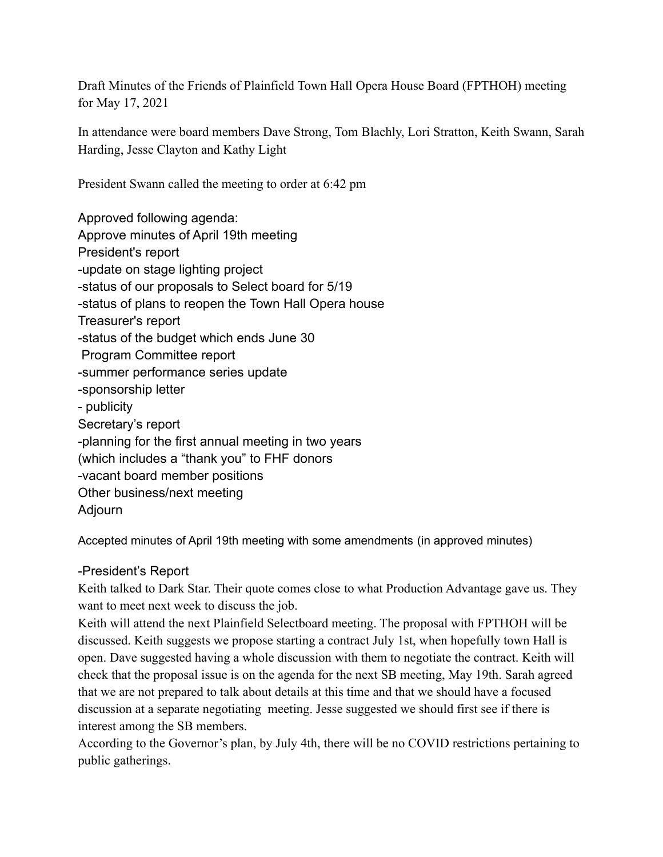Draft Minutes of the Friends of Plainfield Town Hall Opera House Board (FPTHOH) meeting for May 17, 2021

In attendance were board members Dave Strong, Tom Blachly, Lori Stratton, Keith Swann, Sarah Harding, Jesse Clayton and Kathy Light

President Swann called the meeting to order at 6:42 pm

Approved following agenda: Approve minutes of April 19th meeting President's report -update on stage lighting project -status of our proposals to Select board for 5/19 -status of plans to reopen the Town Hall Opera house Treasurer's report -status of the budget which ends June 30 Program Committee report -summer performance series update -sponsorship letter - publicity Secretary's report -planning for the first annual meeting in two years (which includes a "thank you" to FHF donors -vacant board member positions Other business/next meeting Adjourn

Accepted minutes of April 19th meeting with some amendments (in approved minutes)

## -President's Report

Keith talked to Dark Star. Their quote comes close to what Production Advantage gave us. They want to meet next week to discuss the job.

Keith will attend the next Plainfield Selectboard meeting. The proposal with FPTHOH will be discussed. Keith suggests we propose starting a contract July 1st, when hopefully town Hall is open. Dave suggested having a whole discussion with them to negotiate the contract. Keith will check that the proposal issue is on the agenda for the next SB meeting, May 19th. Sarah agreed that we are not prepared to talk about details at this time and that we should have a focused discussion at a separate negotiating meeting. Jesse suggested we should first see if there is interest among the SB members.

According to the Governor's plan, by July 4th, there will be no COVID restrictions pertaining to public gatherings.